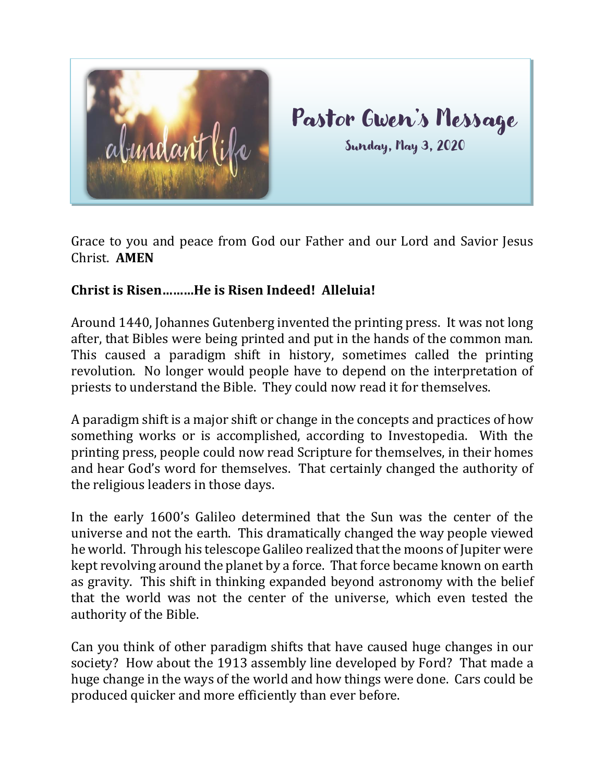

Grace to you and peace from God our Father and our Lord and Savior Jesus Christ. **AMEN**

## **Christ is Risen………He is Risen Indeed! Alleluia!**

Around 1440, Johannes Gutenberg invented the printing press. It was not long after, that Bibles were being printed and put in the hands of the common man. This caused a paradigm shift in history, sometimes called the printing revolution. No longer would people have to depend on the interpretation of priests to understand the Bible. They could now read it for themselves.

A paradigm shift is a major shift or change in the concepts and practices of how something works or is accomplished, according to Investopedia. With the printing press, people could now read Scripture for themselves, in their homes and hear God's word for themselves. That certainly changed the authority of the religious leaders in those days.

In the early 1600's Galileo determined that the Sun was the center of the universe and not the earth. This dramatically changed the way people viewed he world. Through his telescope Galileo realized that the moons of Jupiter were kept revolving around the planet by a force. That force became known on earth as gravity. This shift in thinking expanded beyond astronomy with the belief that the world was not the center of the universe, which even tested the authority of the Bible.

Can you think of other paradigm shifts that have caused huge changes in our society? How about the 1913 assembly line developed by Ford? That made a huge change in the ways of the world and how things were done. Cars could be produced quicker and more efficiently than ever before.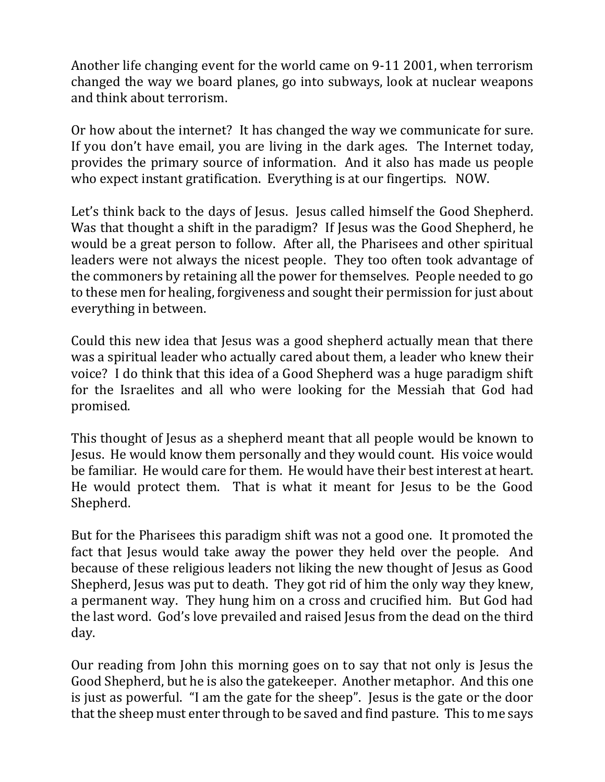Another life changing event for the world came on 9-11 2001, when terrorism changed the way we board planes, go into subways, look at nuclear weapons and think about terrorism.

Or how about the internet? It has changed the way we communicate for sure. If you don't have email, you are living in the dark ages. The Internet today, provides the primary source of information. And it also has made us people who expect instant gratification. Everything is at our fingertips. NOW.

Let's think back to the days of Jesus. Jesus called himself the Good Shepherd. Was that thought a shift in the paradigm? If Jesus was the Good Shepherd, he would be a great person to follow. After all, the Pharisees and other spiritual leaders were not always the nicest people. They too often took advantage of the commoners by retaining all the power for themselves. People needed to go to these men for healing, forgiveness and sought their permission for just about everything in between.

Could this new idea that Jesus was a good shepherd actually mean that there was a spiritual leader who actually cared about them, a leader who knew their voice? I do think that this idea of a Good Shepherd was a huge paradigm shift for the Israelites and all who were looking for the Messiah that God had promised.

This thought of Jesus as a shepherd meant that all people would be known to Jesus. He would know them personally and they would count. His voice would be familiar. He would care for them. He would have their best interest at heart. He would protect them. That is what it meant for Jesus to be the Good Shepherd.

But for the Pharisees this paradigm shift was not a good one. It promoted the fact that Jesus would take away the power they held over the people. And because of these religious leaders not liking the new thought of Jesus as Good Shepherd, Jesus was put to death. They got rid of him the only way they knew, a permanent way. They hung him on a cross and crucified him. But God had the last word. God's love prevailed and raised Jesus from the dead on the third day.

Our reading from John this morning goes on to say that not only is Jesus the Good Shepherd, but he is also the gatekeeper. Another metaphor. And this one is just as powerful. "I am the gate for the sheep". Jesus is the gate or the door that the sheep must enter through to be saved and find pasture. This to me says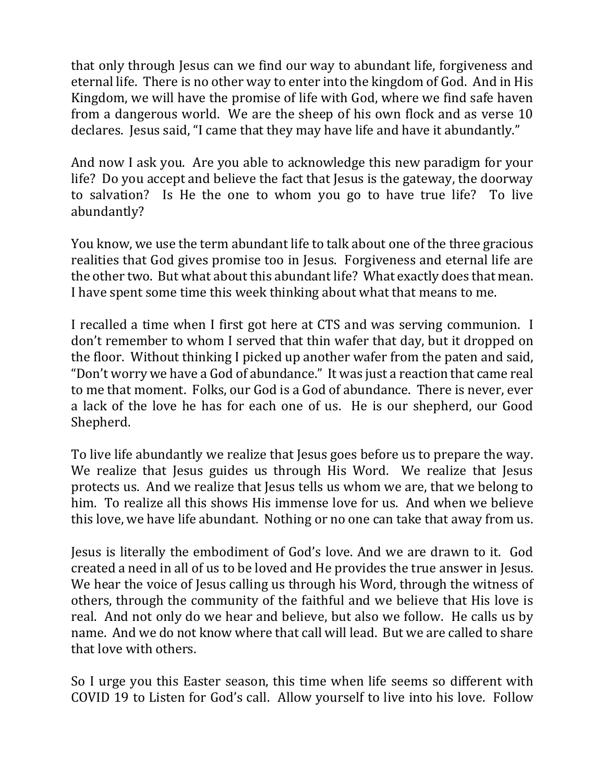that only through Jesus can we find our way to abundant life, forgiveness and eternal life. There is no other way to enter into the kingdom of God. And in His Kingdom, we will have the promise of life with God, where we find safe haven from a dangerous world. We are the sheep of his own flock and as verse 10 declares. Jesus said, "I came that they may have life and have it abundantly."

And now I ask you. Are you able to acknowledge this new paradigm for your life? Do you accept and believe the fact that Jesus is the gateway, the doorway to salvation? Is He the one to whom you go to have true life? To live abundantly?

You know, we use the term abundant life to talk about one of the three gracious realities that God gives promise too in Jesus. Forgiveness and eternal life are the other two. But what about this abundant life? What exactly does that mean. I have spent some time this week thinking about what that means to me.

I recalled a time when I first got here at CTS and was serving communion. I don't remember to whom I served that thin wafer that day, but it dropped on the floor. Without thinking I picked up another wafer from the paten and said, "Don't worry we have a God of abundance." It was just a reaction that came real to me that moment. Folks, our God is a God of abundance. There is never, ever a lack of the love he has for each one of us. He is our shepherd, our Good Shepherd.

To live life abundantly we realize that Jesus goes before us to prepare the way. We realize that Jesus guides us through His Word. We realize that Jesus protects us. And we realize that Jesus tells us whom we are, that we belong to him. To realize all this shows His immense love for us. And when we believe this love, we have life abundant. Nothing or no one can take that away from us.

Jesus is literally the embodiment of God's love. And we are drawn to it. God created a need in all of us to be loved and He provides the true answer in Jesus. We hear the voice of Jesus calling us through his Word, through the witness of others, through the community of the faithful and we believe that His love is real. And not only do we hear and believe, but also we follow. He calls us by name. And we do not know where that call will lead. But we are called to share that love with others.

So I urge you this Easter season, this time when life seems so different with COVID 19 to Listen for God's call. Allow yourself to live into his love. Follow